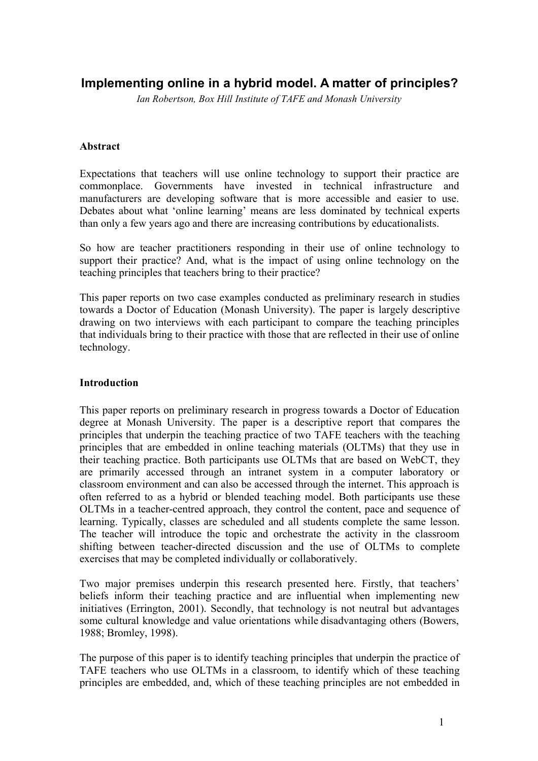# **Implementing online in a hybrid model. A matter of principles?**

*Ian Robertson, Box Hill Institute of TAFE and Monash University*

## **Abstract**

Expectations that teachers will use online technology to support their practice are commonplace. Governments have invested in technical infrastructure and manufacturers are developing software that is more accessible and easier to use. Debates about what 'online learning' means are less dominated by technical experts than only a few years ago and there are increasing contributions by educationalists.

So how are teacher practitioners responding in their use of online technology to support their practice? And, what is the impact of using online technology on the teaching principles that teachers bring to their practice?

This paper reports on two case examples conducted as preliminary research in studies towards a Doctor of Education (Monash University). The paper is largely descriptive drawing on two interviews with each participant to compare the teaching principles that individuals bring to their practice with those that are reflected in their use of online technology.

## **Introduction**

This paper reports on preliminary research in progress towards a Doctor of Education degree at Monash University. The paper is a descriptive report that compares the principles that underpin the teaching practice of two TAFE teachers with the teaching principles that are embedded in online teaching materials (OLTMs) that they use in their teaching practice. Both participants use OLTMs that are based on WebCT, they are primarily accessed through an intranet system in a computer laboratory or classroom environment and can also be accessed through the internet. This approach is often referred to as a hybrid or blended teaching model. Both participants use these OLTMs in a teacher-centred approach, they control the content, pace and sequence of learning. Typically, classes are scheduled and all students complete the same lesson. The teacher will introduce the topic and orchestrate the activity in the classroom shifting between teacher-directed discussion and the use of OLTMs to complete exercises that may be completed individually or collaboratively.

Two major premises underpin this research presented here. Firstly, that teachers' beliefs inform their teaching practice and are influential when implementing new initiatives (Errington, 2001). Secondly, that technology is not neutral but advantages some cultural knowledge and value orientations while disadvantaging others (Bowers, 1988; Bromley, 1998).

The purpose of this paper is to identify teaching principles that underpin the practice of TAFE teachers who use OLTMs in a classroom, to identify which of these teaching principles are embedded, and, which of these teaching principles are not embedded in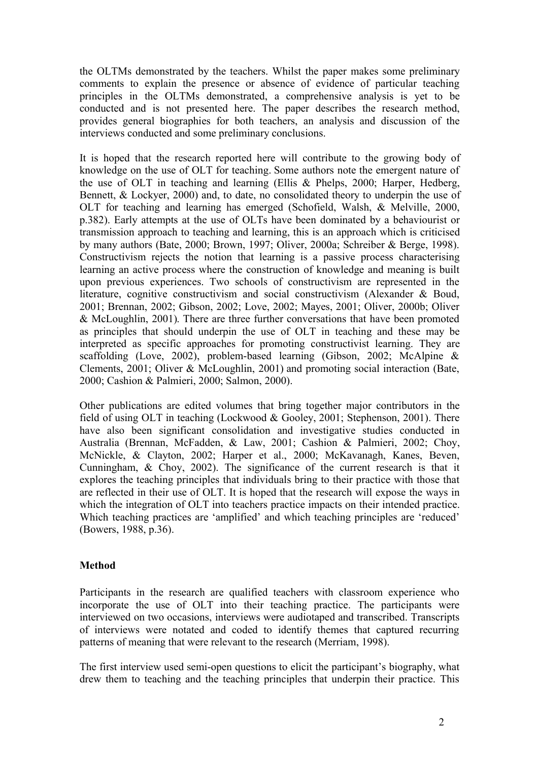the OLTMs demonstrated by the teachers. Whilst the paper makes some preliminary comments to explain the presence or absence of evidence of particular teaching principles in the OLTMs demonstrated, a comprehensive analysis is yet to be conducted and is not presented here. The paper describes the research method, provides general biographies for both teachers, an analysis and discussion of the interviews conducted and some preliminary conclusions.

It is hoped that the research reported here will contribute to the growing body of knowledge on the use of OLT for teaching. Some authors note the emergent nature of the use of OLT in teaching and learning (Ellis & Phelps, 2000; Harper, Hedberg, Bennett, & Lockyer, 2000) and, to date, no consolidated theory to underpin the use of OLT for teaching and learning has emerged (Schofield, Walsh, & Melville, 2000, p.382). Early attempts at the use of OLTs have been dominated by a behaviourist or transmission approach to teaching and learning, this is an approach which is criticised by many authors (Bate, 2000; Brown, 1997; Oliver, 2000a; Schreiber & Berge, 1998). Constructivism rejects the notion that learning is a passive process characterising learning an active process where the construction of knowledge and meaning is built upon previous experiences. Two schools of constructivism are represented in the literature, cognitive constructivism and social constructivism (Alexander & Boud, 2001; Brennan, 2002; Gibson, 2002; Love, 2002; Mayes, 2001; Oliver, 2000b; Oliver & McLoughlin, 2001). There are three further conversations that have been promoted as principles that should underpin the use of OLT in teaching and these may be interpreted as specific approaches for promoting constructivist learning. They are scaffolding (Love, 2002), problem-based learning (Gibson, 2002; McAlpine & Clements, 2001; Oliver & McLoughlin, 2001) and promoting social interaction (Bate, 2000; Cashion & Palmieri, 2000; Salmon, 2000).

Other publications are edited volumes that bring together major contributors in the field of using OLT in teaching (Lockwood & Gooley, 2001; Stephenson, 2001). There have also been significant consolidation and investigative studies conducted in Australia (Brennan, McFadden, & Law, 2001; Cashion & Palmieri, 2002; Choy, McNickle, & Clayton, 2002; Harper et al., 2000; McKavanagh, Kanes, Beven, Cunningham, & Choy, 2002). The significance of the current research is that it explores the teaching principles that individuals bring to their practice with those that are reflected in their use of OLT. It is hoped that the research will expose the ways in which the integration of OLT into teachers practice impacts on their intended practice. Which teaching practices are 'amplified' and which teaching principles are 'reduced' (Bowers, 1988, p.36).

# **Method**

Participants in the research are qualified teachers with classroom experience who incorporate the use of OLT into their teaching practice. The participants were interviewed on two occasions, interviews were audiotaped and transcribed. Transcripts of interviews were notated and coded to identify themes that captured recurring patterns of meaning that were relevant to the research (Merriam, 1998).

The first interview used semi-open questions to elicit the participant's biography, what drew them to teaching and the teaching principles that underpin their practice. This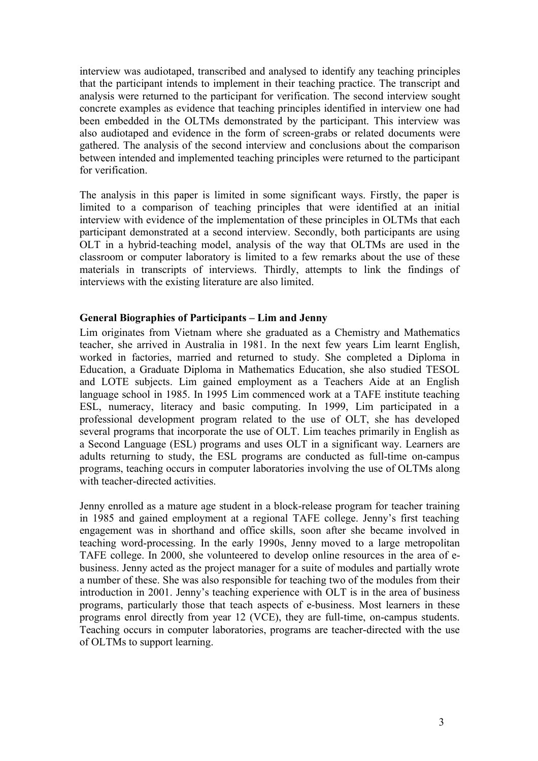interview was audiotaped, transcribed and analysed to identify any teaching principles that the participant intends to implement in their teaching practice. The transcript and analysis were returned to the participant for verification. The second interview sought concrete examples as evidence that teaching principles identified in interview one had been embedded in the OLTMs demonstrated by the participant. This interview was also audiotaped and evidence in the form of screen-grabs or related documents were gathered. The analysis of the second interview and conclusions about the comparison between intended and implemented teaching principles were returned to the participant for verification.

The analysis in this paper is limited in some significant ways. Firstly, the paper is limited to a comparison of teaching principles that were identified at an initial interview with evidence of the implementation of these principles in OLTMs that each participant demonstrated at a second interview. Secondly, both participants are using OLT in a hybrid-teaching model, analysis of the way that OLTMs are used in the classroom or computer laboratory is limited to a few remarks about the use of these materials in transcripts of interviews. Thirdly, attempts to link the findings of interviews with the existing literature are also limited.

## **General Biographies of Participants – Lim and Jenny**

Lim originates from Vietnam where she graduated as a Chemistry and Mathematics teacher, she arrived in Australia in 1981. In the next few years Lim learnt English, worked in factories, married and returned to study. She completed a Diploma in Education, a Graduate Diploma in Mathematics Education, she also studied TESOL and LOTE subjects. Lim gained employment as a Teachers Aide at an English language school in 1985. In 1995 Lim commenced work at a TAFE institute teaching ESL, numeracy, literacy and basic computing. In 1999, Lim participated in a professional development program related to the use of OLT, she has developed several programs that incorporate the use of OLT. Lim teaches primarily in English as a Second Language (ESL) programs and uses OLT in a significant way. Learners are adults returning to study, the ESL programs are conducted as full-time on-campus programs, teaching occurs in computer laboratories involving the use of OLTMs along with teacher-directed activities.

Jenny enrolled as a mature age student in a block-release program for teacher training in 1985 and gained employment at a regional TAFE college. Jenny's first teaching engagement was in shorthand and office skills, soon after she became involved in teaching word-processing. In the early 1990s, Jenny moved to a large metropolitan TAFE college. In 2000, she volunteered to develop online resources in the area of ebusiness. Jenny acted as the project manager for a suite of modules and partially wrote a number of these. She was also responsible for teaching two of the modules from their introduction in 2001. Jenny's teaching experience with OLT is in the area of business programs, particularly those that teach aspects of e-business. Most learners in these programs enrol directly from year 12 (VCE), they are full-time, on-campus students. Teaching occurs in computer laboratories, programs are teacher-directed with the use of OLTMs to support learning.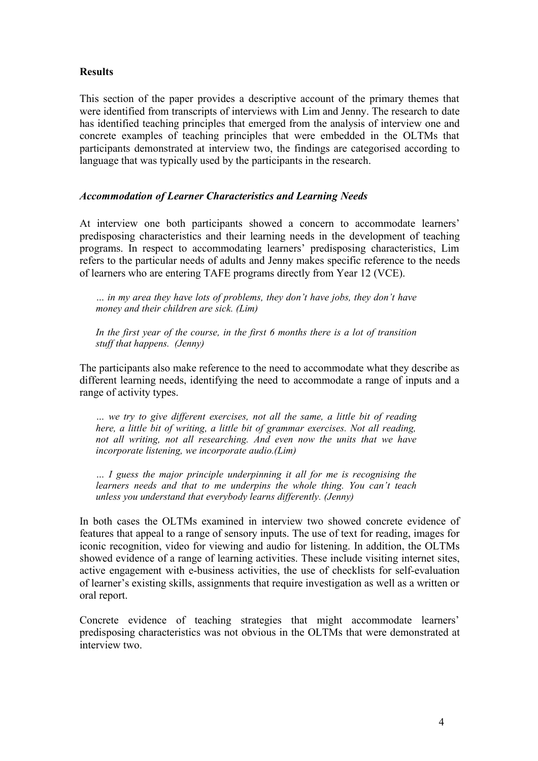# **Results**

This section of the paper provides a descriptive account of the primary themes that were identified from transcripts of interviews with Lim and Jenny. The research to date has identified teaching principles that emerged from the analysis of interview one and concrete examples of teaching principles that were embedded in the OLTMs that participants demonstrated at interview two, the findings are categorised according to language that was typically used by the participants in the research.

# *Accommodation of Learner Characteristics and Learning Needs*

At interview one both participants showed a concern to accommodate learners' predisposing characteristics and their learning needs in the development of teaching programs. In respect to accommodating learners' predisposing characteristics, Lim refers to the particular needs of adults and Jenny makes specific reference to the needs of learners who are entering TAFE programs directly from Year 12 (VCE).

*… in my area they have lots of problems, they don't have jobs, they don't have money and their children are sick. (Lim)*

*In the first year of the course, in the first 6 months there is a lot of transition stuff that happens. (Jenny)*

The participants also make reference to the need to accommodate what they describe as different learning needs, identifying the need to accommodate a range of inputs and a range of activity types.

*… we try to give different exercises, not all the same, a little bit of reading here, a little bit of writing, a little bit of grammar exercises. Not all reading, not all writing, not all researching. And even now the units that we have incorporate listening, we incorporate audio.(Lim)*

*… I guess the major principle underpinning it all for me is recognising the learners needs and that to me underpins the whole thing. You can't teach unless you understand that everybody learns differently. (Jenny)*

In both cases the OLTMs examined in interview two showed concrete evidence of features that appeal to a range of sensory inputs. The use of text for reading, images for iconic recognition, video for viewing and audio for listening. In addition, the OLTMs showed evidence of a range of learning activities. These include visiting internet sites, active engagement with e-business activities, the use of checklists for self-evaluation of learner's existing skills, assignments that require investigation as well as a written or oral report.

Concrete evidence of teaching strategies that might accommodate learners' predisposing characteristics was not obvious in the OLTMs that were demonstrated at interview two.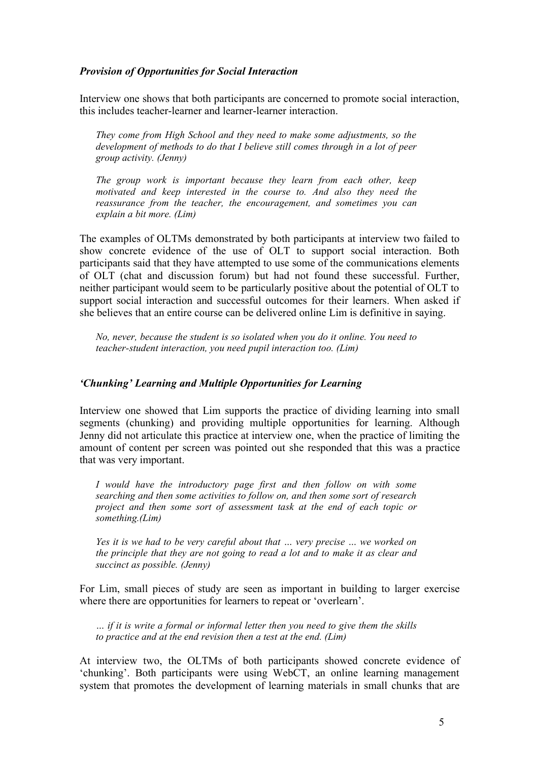### *Provision of Opportunities for Social Interaction*

Interview one shows that both participants are concerned to promote social interaction, this includes teacher-learner and learner-learner interaction.

*They come from High School and they need to make some adjustments, so the development of methods to do that I believe still comes through in a lot of peer group activity. (Jenny)*

*The group work is important because they learn from each other, keep motivated and keep interested in the course to. And also they need the reassurance from the teacher, the encouragement, and sometimes you can explain a bit more. (Lim)*

The examples of OLTMs demonstrated by both participants at interview two failed to show concrete evidence of the use of OLT to support social interaction. Both participants said that they have attempted to use some of the communications elements of OLT (chat and discussion forum) but had not found these successful. Further, neither participant would seem to be particularly positive about the potential of OLT to support social interaction and successful outcomes for their learners. When asked if she believes that an entire course can be delivered online Lim is definitive in saying.

*No, never, because the student is so isolated when you do it online. You need to teacher-student interaction, you need pupil interaction too. (Lim)*

#### *'Chunking' Learning and Multiple Opportunities for Learning*

Interview one showed that Lim supports the practice of dividing learning into small segments (chunking) and providing multiple opportunities for learning. Although Jenny did not articulate this practice at interview one, when the practice of limiting the amount of content per screen was pointed out she responded that this was a practice that was very important.

*I would have the introductory page first and then follow on with some searching and then some activities to follow on, and then some sort of research project and then some sort of assessment task at the end of each topic or something.(Lim)*

*Yes it is we had to be very careful about that … very precise … we worked on the principle that they are not going to read a lot and to make it as clear and succinct as possible. (Jenny)*

For Lim, small pieces of study are seen as important in building to larger exercise where there are opportunities for learners to repeat or 'overlearn'.

*… if it is write a formal or informal letter then you need to give them the skills to practice and at the end revision then a test at the end. (Lim)*

At interview two, the OLTMs of both participants showed concrete evidence of 'chunking'. Both participants were using WebCT, an online learning management system that promotes the development of learning materials in small chunks that are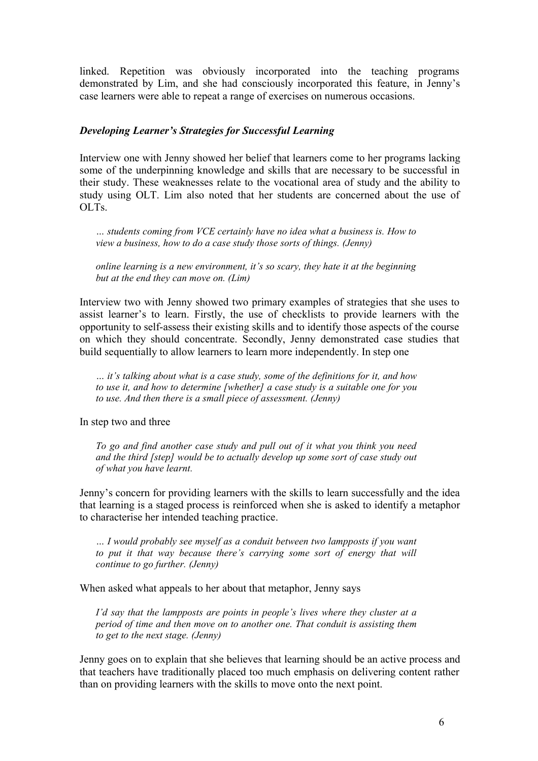linked. Repetition was obviously incorporated into the teaching programs demonstrated by Lim, and she had consciously incorporated this feature, in Jenny's case learners were able to repeat a range of exercises on numerous occasions.

### *Developing Learner's Strategies for Successful Learning*

Interview one with Jenny showed her belief that learners come to her programs lacking some of the underpinning knowledge and skills that are necessary to be successful in their study. These weaknesses relate to the vocational area of study and the ability to study using OLT. Lim also noted that her students are concerned about the use of OLTs.

*… students coming from VCE certainly have no idea what a business is. How to view a business, how to do a case study those sorts of things. (Jenny)*

*online learning is a new environment, it's so scary, they hate it at the beginning but at the end they can move on. (Lim)*

Interview two with Jenny showed two primary examples of strategies that she uses to assist learner's to learn. Firstly, the use of checklists to provide learners with the opportunity to self-assess their existing skills and to identify those aspects of the course on which they should concentrate. Secondly, Jenny demonstrated case studies that build sequentially to allow learners to learn more independently. In step one

*… it's talking about what is a case study, some of the definitions for it, and how to use it, and how to determine [whether] a case study is a suitable one for you to use. And then there is a small piece of assessment. (Jenny)*

In step two and three

*To go and find another case study and pull out of it what you think you need and the third [step] would be to actually develop up some sort of case study out of what you have learnt.*

Jenny's concern for providing learners with the skills to learn successfully and the idea that learning is a staged process is reinforced when she is asked to identify a metaphor to characterise her intended teaching practice.

*… I would probably see myself as a conduit between two lampposts if you want to put it that way because there's carrying some sort of energy that will continue to go further. (Jenny)*

When asked what appeals to her about that metaphor, Jenny says

*I'd say that the lampposts are points in people's lives where they cluster at a period of time and then move on to another one. That conduit is assisting them to get to the next stage. (Jenny)*

Jenny goes on to explain that she believes that learning should be an active process and that teachers have traditionally placed too much emphasis on delivering content rather than on providing learners with the skills to move onto the next point.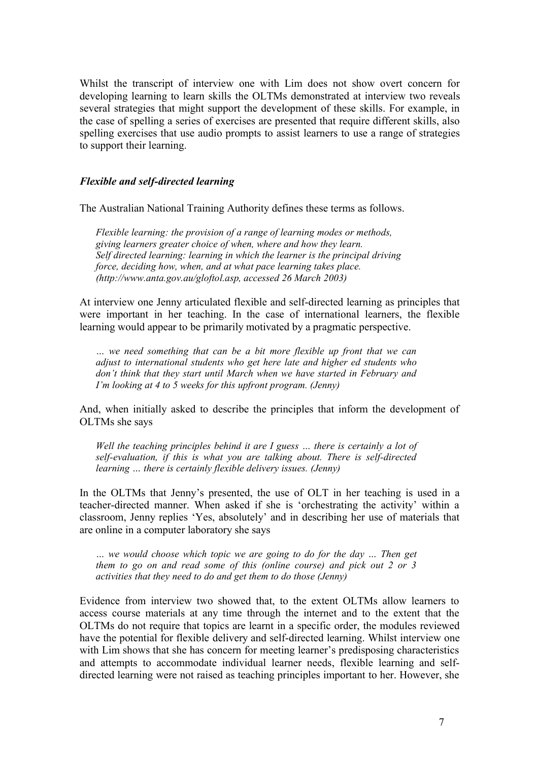Whilst the transcript of interview one with Lim does not show overt concern for developing learning to learn skills the OLTMs demonstrated at interview two reveals several strategies that might support the development of these skills. For example, in the case of spelling a series of exercises are presented that require different skills, also spelling exercises that use audio prompts to assist learners to use a range of strategies to support their learning.

## *Flexible and self-directed learning*

The Australian National Training Authority defines these terms as follows.

*Flexible learning: the provision of a range of learning modes or methods, giving learners greater choice of when, where and how they learn. Self directed learning: learning in which the learner is the principal driving force, deciding how, when, and at what pace learning takes place. (http://www.anta.gov.au/gloftol.asp, accessed 26 March 2003)*

At interview one Jenny articulated flexible and self-directed learning as principles that were important in her teaching. In the case of international learners, the flexible learning would appear to be primarily motivated by a pragmatic perspective.

*… we need something that can be a bit more flexible up front that we can adjust to international students who get here late and higher ed students who don't think that they start until March when we have started in February and I'm looking at 4 to 5 weeks for this upfront program. (Jenny)*

And, when initially asked to describe the principles that inform the development of OLTMs she says

*Well the teaching principles behind it are I guess … there is certainly a lot of self-evaluation, if this is what you are talking about. There is self-directed learning … there is certainly flexible delivery issues. (Jenny)*

In the OLTMs that Jenny's presented, the use of OLT in her teaching is used in a teacher-directed manner. When asked if she is 'orchestrating the activity' within a classroom, Jenny replies 'Yes, absolutely' and in describing her use of materials that are online in a computer laboratory she says

*… we would choose which topic we are going to do for the day … Then get them to go on and read some of this (online course) and pick out 2 or 3 activities that they need to do and get them to do those (Jenny)*

Evidence from interview two showed that, to the extent OLTMs allow learners to access course materials at any time through the internet and to the extent that the OLTMs do not require that topics are learnt in a specific order, the modules reviewed have the potential for flexible delivery and self-directed learning. Whilst interview one with Lim shows that she has concern for meeting learner's predisposing characteristics and attempts to accommodate individual learner needs, flexible learning and selfdirected learning were not raised as teaching principles important to her. However, she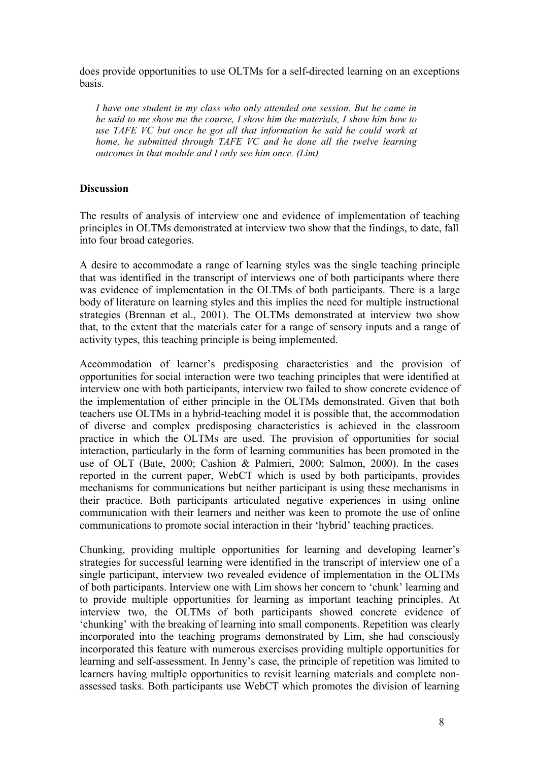does provide opportunities to use OLTMs for a self-directed learning on an exceptions basis.

*I have one student in my class who only attended one session. But he came in he said to me show me the course, I show him the materials, I show him how to use TAFE VC but once he got all that information he said he could work at home, he submitted through TAFE VC and he done all the twelve learning outcomes in that module and I only see him once. (Lim)*

## **Discussion**

The results of analysis of interview one and evidence of implementation of teaching principles in OLTMs demonstrated at interview two show that the findings, to date, fall into four broad categories.

A desire to accommodate a range of learning styles was the single teaching principle that was identified in the transcript of interviews one of both participants where there was evidence of implementation in the OLTMs of both participants. There is a large body of literature on learning styles and this implies the need for multiple instructional strategies (Brennan et al., 2001). The OLTMs demonstrated at interview two show that, to the extent that the materials cater for a range of sensory inputs and a range of activity types, this teaching principle is being implemented.

Accommodation of learner's predisposing characteristics and the provision of opportunities for social interaction were two teaching principles that were identified at interview one with both participants, interview two failed to show concrete evidence of the implementation of either principle in the OLTMs demonstrated. Given that both teachers use OLTMs in a hybrid-teaching model it is possible that, the accommodation of diverse and complex predisposing characteristics is achieved in the classroom practice in which the OLTMs are used. The provision of opportunities for social interaction, particularly in the form of learning communities has been promoted in the use of OLT (Bate, 2000; Cashion & Palmieri, 2000; Salmon, 2000). In the cases reported in the current paper, WebCT which is used by both participants, provides mechanisms for communications but neither participant is using these mechanisms in their practice. Both participants articulated negative experiences in using online communication with their learners and neither was keen to promote the use of online communications to promote social interaction in their 'hybrid' teaching practices.

Chunking, providing multiple opportunities for learning and developing learner's strategies for successful learning were identified in the transcript of interview one of a single participant, interview two revealed evidence of implementation in the OLTMs of both participants. Interview one with Lim shows her concern to 'chunk' learning and to provide multiple opportunities for learning as important teaching principles. At interview two, the OLTMs of both participants showed concrete evidence of 'chunking' with the breaking of learning into small components. Repetition was clearly incorporated into the teaching programs demonstrated by Lim, she had consciously incorporated this feature with numerous exercises providing multiple opportunities for learning and self-assessment. In Jenny's case, the principle of repetition was limited to learners having multiple opportunities to revisit learning materials and complete nonassessed tasks. Both participants use WebCT which promotes the division of learning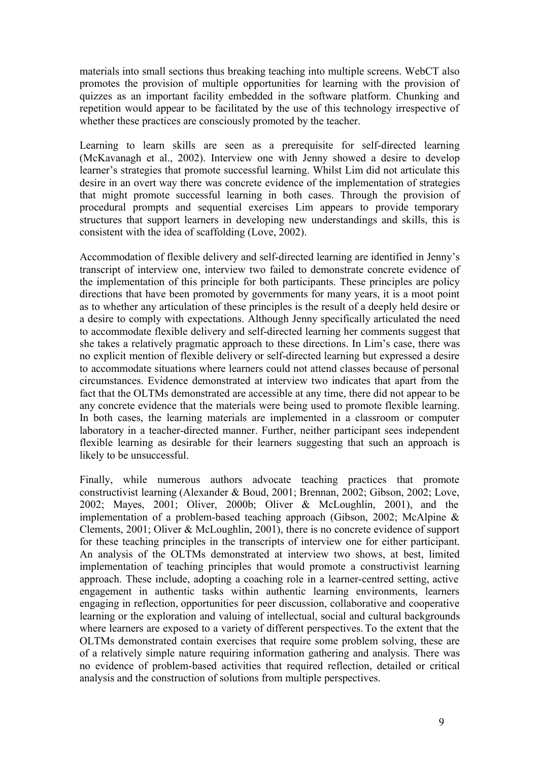materials into small sections thus breaking teaching into multiple screens. WebCT also promotes the provision of multiple opportunities for learning with the provision of quizzes as an important facility embedded in the software platform. Chunking and repetition would appear to be facilitated by the use of this technology irrespective of whether these practices are consciously promoted by the teacher.

Learning to learn skills are seen as a prerequisite for self-directed learning (McKavanagh et al., 2002). Interview one with Jenny showed a desire to develop learner's strategies that promote successful learning. Whilst Lim did not articulate this desire in an overt way there was concrete evidence of the implementation of strategies that might promote successful learning in both cases. Through the provision of procedural prompts and sequential exercises Lim appears to provide temporary structures that support learners in developing new understandings and skills, this is consistent with the idea of scaffolding (Love, 2002).

Accommodation of flexible delivery and self-directed learning are identified in Jenny's transcript of interview one, interview two failed to demonstrate concrete evidence of the implementation of this principle for both participants. These principles are policy directions that have been promoted by governments for many years, it is a moot point as to whether any articulation of these principles is the result of a deeply held desire or a desire to comply with expectations. Although Jenny specifically articulated the need to accommodate flexible delivery and self-directed learning her comments suggest that she takes a relatively pragmatic approach to these directions. In Lim's case, there was no explicit mention of flexible delivery or self-directed learning but expressed a desire to accommodate situations where learners could not attend classes because of personal circumstances. Evidence demonstrated at interview two indicates that apart from the fact that the OLTMs demonstrated are accessible at any time, there did not appear to be any concrete evidence that the materials were being used to promote flexible learning. In both cases, the learning materials are implemented in a classroom or computer laboratory in a teacher-directed manner. Further, neither participant sees independent flexible learning as desirable for their learners suggesting that such an approach is likely to be unsuccessful.

Finally, while numerous authors advocate teaching practices that promote constructivist learning (Alexander & Boud, 2001; Brennan, 2002; Gibson, 2002; Love, 2002; Mayes, 2001; Oliver, 2000b; Oliver & McLoughlin, 2001), and the implementation of a problem-based teaching approach (Gibson, 2002; McAlpine & Clements, 2001; Oliver & McLoughlin, 2001), there is no concrete evidence of support for these teaching principles in the transcripts of interview one for either participant. An analysis of the OLTMs demonstrated at interview two shows, at best, limited implementation of teaching principles that would promote a constructivist learning approach. These include, adopting a coaching role in a learner-centred setting, active engagement in authentic tasks within authentic learning environments, learners engaging in reflection, opportunities for peer discussion, collaborative and cooperative learning or the exploration and valuing of intellectual, social and cultural backgrounds where learners are exposed to a variety of different perspectives.To the extent that the OLTMs demonstrated contain exercises that require some problem solving, these are of a relatively simple nature requiring information gathering and analysis. There was no evidence of problem-based activities that required reflection, detailed or critical analysis and the construction of solutions from multiple perspectives.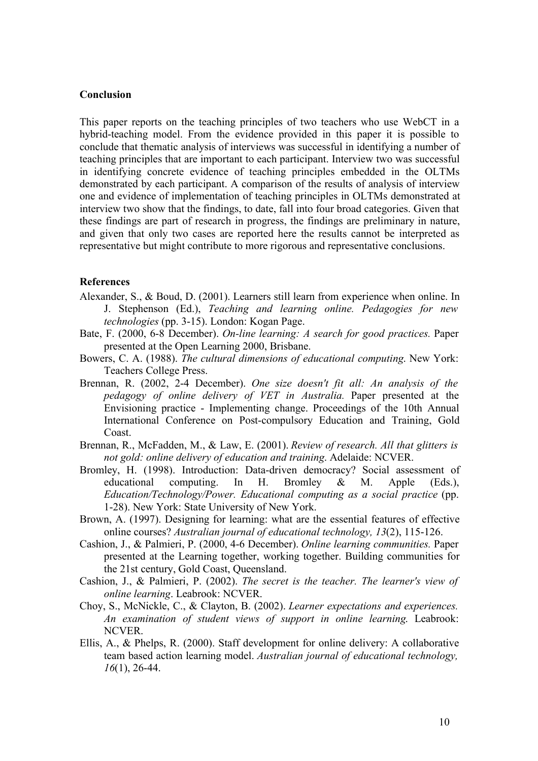#### **Conclusion**

This paper reports on the teaching principles of two teachers who use WebCT in a hybrid-teaching model. From the evidence provided in this paper it is possible to conclude that thematic analysis of interviews was successful in identifying a number of teaching principles that are important to each participant. Interview two was successful in identifying concrete evidence of teaching principles embedded in the OLTMs demonstrated by each participant. A comparison of the results of analysis of interview one and evidence of implementation of teaching principles in OLTMs demonstrated at interview two show that the findings, to date, fall into four broad categories. Given that these findings are part of research in progress, the findings are preliminary in nature, and given that only two cases are reported here the results cannot be interpreted as representative but might contribute to more rigorous and representative conclusions.

#### **References**

- Alexander, S., & Boud, D. (2001). Learners still learn from experience when online. In J. Stephenson (Ed.), *Teaching and learning online. Pedagogies for new technologies* (pp. 3-15). London: Kogan Page.
- Bate, F. (2000, 6-8 December). *On-line learning: A search for good practices.* Paper presented at the Open Learning 2000, Brisbane.
- Bowers, C. A. (1988). *The cultural dimensions of educational computing*. New York: Teachers College Press.
- Brennan, R. (2002, 2-4 December). *One size doesn't fit all: An analysis of the pedagogy of online delivery of VET in Australia.* Paper presented at the Envisioning practice - Implementing change. Proceedings of the 10th Annual International Conference on Post-compulsory Education and Training, Gold Coast.
- Brennan, R., McFadden, M., & Law, E. (2001). *Review of research. All that glitters is not gold: online delivery of education and training*. Adelaide: NCVER.
- Bromley, H. (1998). Introduction: Data-driven democracy? Social assessment of educational computing. In H. Bromley & M. Apple (Eds.), *Education/Technology/Power. Educational computing as a social practice* (pp. 1-28). New York: State University of New York.
- Brown, A. (1997). Designing for learning: what are the essential features of effective online courses? *Australian journal of educational technology, 13*(2), 115-126.
- Cashion, J., & Palmieri, P. (2000, 4-6 December). *Online learning communities.* Paper presented at the Learning together, working together. Building communities for the 21st century, Gold Coast, Queensland.
- Cashion, J., & Palmieri, P. (2002). *The secret is the teacher. The learner's view of online learning*. Leabrook: NCVER.
- Choy, S., McNickle, C., & Clayton, B. (2002). *Learner expectations and experiences. An examination of student views of support in online learning*. Leabrook: NCVER.
- Ellis, A., & Phelps, R. (2000). Staff development for online delivery: A collaborative team based action learning model. *Australian journal of educational technology, 16*(1), 26-44.